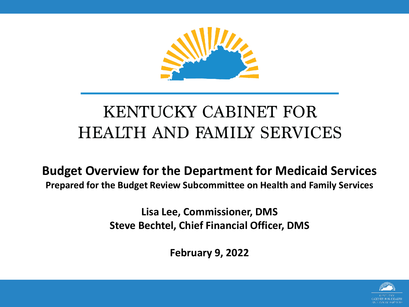

#### KENTUCKY CABINET FOR **HEALTH AND FAMILY SERVICES**

**Budget Overview for the Department for Medicaid Services Prepared for the Budget Review Subcommittee on Health and Family Services**

> **Lisa Lee, Commissioner, DMS Steve Bechtel, Chief Financial Officer, DMS**

> > **February 9, 2022**

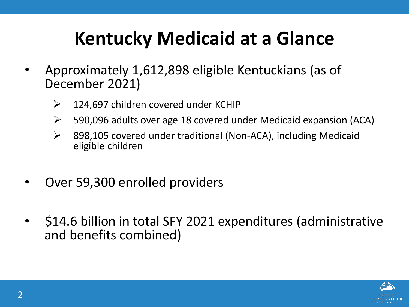## **Kentucky Medicaid at a Glance**

- Approximately 1,612,898 eligible Kentuckians (as of December 2021)
	- $\geq$  124,697 children covered under KCHIP
	- 590,096 adults over age 18 covered under Medicaid expansion (ACA)
	- 898,105 covered under traditional (Non-ACA), including Medicaid eligible children
- Over 59,300 enrolled providers
- \$14.6 billion in total SFY 2021 expenditures (administrative and benefits combined)

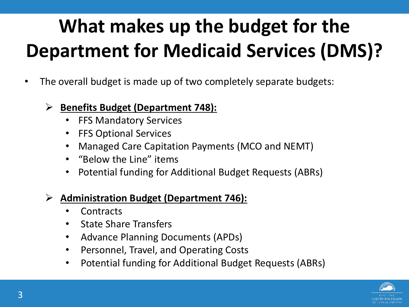# **What makes up the budget for the Department for Medicaid Services (DMS)?**

- The overall budget is made up of two completely separate budgets:
	- **Benefits Budget (Department 748):** 
		- FFS Mandatory Services
		- FFS Optional Services
		- Managed Care Capitation Payments (MCO and NEMT)
		- "Below the Line" items
		- Potential funding for Additional Budget Requests (ABRs)

#### **Administration Budget (Department 746):**

- **Contracts**
- State Share Transfers
- Advance Planning Documents (APDs)
- Personnel, Travel, and Operating Costs
- Potential funding for Additional Budget Requests (ABRs)

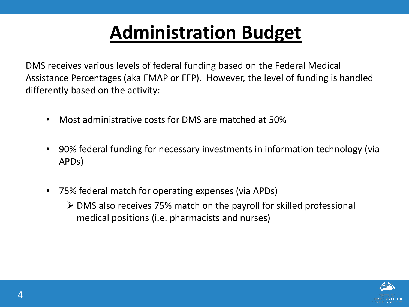### **Administration Budget**

DMS receives various levels of federal funding based on the Federal Medical Assistance Percentages (aka FMAP or FFP). However, the level of funding is handled differently based on the activity:

- Most administrative costs for DMS are matched at 50%
- 90% federal funding for necessary investments in information technology (via APDs)
- 75% federal match for operating expenses (via APDs)
	- DMS also receives 75% match on the payroll for skilled professional medical positions (i.e. pharmacists and nurses)

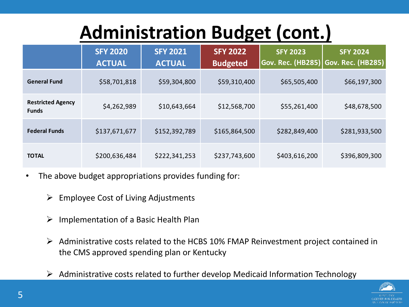## **Administration Budget (cont.)**

|                                          | <b>SFY 2020</b><br><b>ACTUAL</b> | <b>SFY 2021</b><br><b>ACTUAL</b> | <b>SFY 2022</b><br><b>Budgeted</b> | <b>SFY 2023</b><br><b>Gov. Rec. (HB285) Gov. Rec. (HB285)</b> | <b>SFY 2024</b> |  |  |
|------------------------------------------|----------------------------------|----------------------------------|------------------------------------|---------------------------------------------------------------|-----------------|--|--|
| <b>General Fund</b>                      | \$58,701,818                     | \$59,304,800                     | \$59,310,400                       | \$65,505,400                                                  | \$66,197,300    |  |  |
| <b>Restricted Agency</b><br><b>Funds</b> | \$4,262,989                      | \$10,643,664                     | \$12,568,700                       | \$55,261,400                                                  | \$48,678,500    |  |  |
| <b>Federal Funds</b>                     | \$137,671,677                    | \$152,392,789                    | \$165,864,500                      | \$282,849,400                                                 | \$281,933,500   |  |  |
| <b>TOTAL</b>                             | \$200,636,484                    | \$222,341,253                    | \$237,743,600                      | \$403,616,200                                                 | \$396,809,300   |  |  |

- The above budget appropriations provides funding for:
	- $\triangleright$  Employee Cost of Living Adjustments
	- $\triangleright$  Implementation of a Basic Health Plan
	- $\triangleright$  Administrative costs related to the HCBS 10% FMAP Reinvestment project contained in the CMS approved spending plan or Kentucky
	- $\triangleright$  Administrative costs related to further develop Medicaid Information Technology

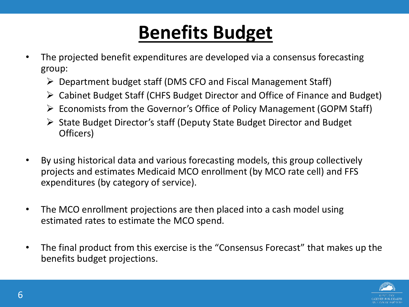#### **Benefits Budget**

- The projected benefit expenditures are developed via a consensus forecasting group:
	- Department budget staff (DMS CFO and Fiscal Management Staff)
	- Cabinet Budget Staff (CHFS Budget Director and Office of Finance and Budget)
	- $\triangleright$  Economists from the Governor's Office of Policy Management (GOPM Staff)
	- State Budget Director's staff (Deputy State Budget Director and Budget Officers)
- By using historical data and various forecasting models, this group collectively projects and estimates Medicaid MCO enrollment (by MCO rate cell) and FFS expenditures (by category of service).
- The MCO enrollment projections are then placed into a cash model using estimated rates to estimate the MCO spend.
- The final product from this exercise is the "Consensus Forecast" that makes up the benefits budget projections.

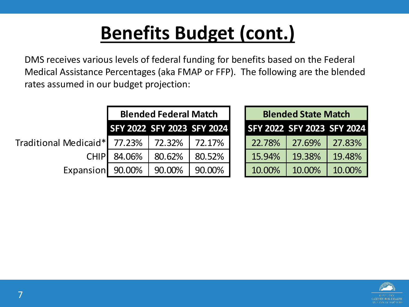### **Benefits Budget (cont.)**

DMS receives various levels of federal funding for benefits based on the Federal Medical Assistance Percentages (aka FMAP or FFP). The following are the blended rates assumed in our budget projection:

|                       |                            | <b>Blended Federal Match</b> |        | <b>Blended State Match</b> |        |        |  |  |  |
|-----------------------|----------------------------|------------------------------|--------|----------------------------|--------|--------|--|--|--|
|                       | SFY 2022 SFY 2023 SFY 2024 |                              |        | SFY 2022 SFY 2023 SFY 2024 |        |        |  |  |  |
| Traditional Medicaid* | 77.23%                     | 72.32%                       | 72.17% | 22.78%                     | 27.69% | 27.83% |  |  |  |
| <b>CHIPI</b>          | 84.06%                     | 80.62%                       | 80.52% | 15.94%                     | 19.38% | 19.48% |  |  |  |
| Expansion             | 90.00%                     | 90.00%                       | 90.00% | 10.00%                     | 10.00% | 10.00% |  |  |  |

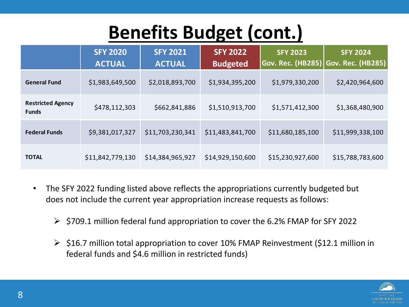#### **Benefits Budget (cont.)**

|                                          | <b>SFY 2020</b><br><b>ACTUAL</b> | <b>SFY 2021</b><br><b>ACTUAL</b> | <b>SFY 2022</b><br><b>Budgeted</b> | <b>SFY 2023</b><br><b>Gov. Rec. (HB285) Gov. Rec. (HB285)</b> | <b>SFY 2024</b>  |  |  |
|------------------------------------------|----------------------------------|----------------------------------|------------------------------------|---------------------------------------------------------------|------------------|--|--|
| <b>General Fund</b>                      | \$1,983,649,500                  | \$2,018,893,700                  | \$1,934,395,200                    | \$1,979,330,200                                               | \$2,420,964,600  |  |  |
| <b>Restricted Agency</b><br><b>Funds</b> | \$478,112,303                    | \$662,841,886                    | \$1,510,913,700                    | \$1,571,412,300                                               | \$1,368,480,900  |  |  |
| <b>Federal Funds</b>                     | \$9,381,017,327                  | \$11,703,230,341                 | \$11,483,841,700                   | \$11,680,185,100                                              | \$11,999,338,100 |  |  |
| <b>TOTAL</b>                             | \$11,842,779,130                 | \$14,384,965,927                 | \$14,929,150,600                   | \$15,230,927,600                                              | \$15,788,783,600 |  |  |

- The SFY 2022 funding listed above reflects the appropriations currently budgeted but does not include the current year appropriation increase requests as follows:
	- $\triangleright$  \$709.1 million federal fund appropriation to cover the 6.2% FMAP for SFY 2022
	- $\geq$  \$16.7 million total appropriation to cover 10% FMAP Reinvestment (\$12.1 million in federal funds and \$4.6 million in restricted funds)

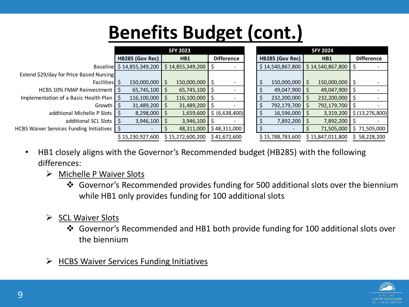### **Benefits Budget (cont.)**

|                                               | <b>SFY 2023</b>  |                           |                  |                         |    |                   |                  | <b>SFY 2024</b> |                  |                  |                  |  |                   |  |
|-----------------------------------------------|------------------|---------------------------|------------------|-------------------------|----|-------------------|------------------|-----------------|------------------|------------------|------------------|--|-------------------|--|
|                                               | HB285 (Gov Rec)  |                           | HB1              |                         |    | <b>Difference</b> |                  |                 | HB285 (Gov Rec)  |                  | HB1              |  | <b>Difference</b> |  |
|                                               |                  | Baseline \$14,855,349,200 |                  | $$14,855,349,200$ \$    |    |                   |                  |                 | \$14,540,867,800 |                  | \$14,540,867,800 |  |                   |  |
| Extend \$29/day for Price Based Nursing       |                  |                           |                  |                         |    |                   |                  |                 |                  |                  |                  |  |                   |  |
| Facilities \$                                 |                  | 150,000,000               | <sup>S</sup>     | 150,000,000 \$          |    |                   |                  |                 | 150,000,000      |                  | 150,000,000 \$   |  |                   |  |
| HCBS 10% FMAP Reinvestment   \$               |                  | 65,745,100                |                  | $65,745,100$ \$         |    |                   |                  |                 | 49,047,900       |                  | 49,047,900       |  |                   |  |
| Implementation of a Basic Health Plan   \$    |                  | 116,100,000               |                  | $116,100,000$ \$        |    |                   |                  |                 | 232,200,000      |                  | 232,200,000      |  |                   |  |
| Growth I S                                    |                  | 31,489,200                |                  | 31,489,200 \$           |    |                   |                  |                 | 792,179,700 \$   |                  | 792,179,700 \$   |  |                   |  |
| additional Michelle P Slots 5                 |                  | 8,298,000                 | S                | 1,659,600               |    | \$ (6,638,400)    |                  |                 | 16,596,000       |                  | 3,319,200        |  | \$ (13, 276, 800) |  |
| additional SCL Slots 1 S                      |                  | 3,946,100                 |                  | 3,946,100               | -S |                   |                  |                 | 7,892,200        |                  | 7,892,200        |  |                   |  |
| HCBS Waiver Services Funding Initiatives   \$ |                  |                           |                  | 48,311,000 \$48,311,000 |    |                   |                  |                 |                  |                  | 71,505,000       |  | \$71,505,000      |  |
|                                               | \$15,230,927,600 |                           | \$15,272,600,200 |                         |    | \$41,672,600      | \$15,788,783,600 |                 |                  | \$15,847,011,800 |                  |  | \$58,228,200      |  |

- HB1 closely aligns with the Governor's Recommended budget (HB285) with the following differences:
	- $\triangleright$  Michelle P Waiver Slots
		- Governor's Recommended provides funding for 500 additional slots over the biennium while HB1 only provides funding for 100 additional slots
	- $\triangleright$  SCL Waiver Slots
		- Governor's Recommended and HB1 both provide funding for 100 additional slots over the biennium
	- $\triangleright$  HCBS Waiver Services Funding Initiatives

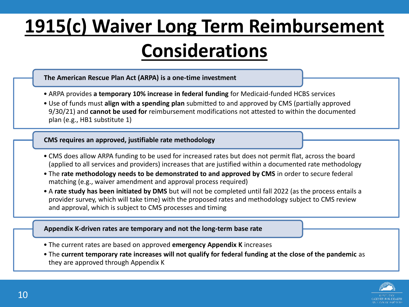# **1915(c) Waiver Long Term Reimbursement Considerations**

#### **The American Rescue Plan Act (ARPA) is a one-time investment**

- ARPA provides **a temporary 10% increase in federal funding** for Medicaid-funded HCBS services
- Use of funds must **align with a spending plan** submitted to and approved by CMS (partially approved 9/30/21) and **cannot be used for** reimbursement modifications not attested to within the documented plan (e.g., HB1 substitute 1)

#### **CMS requires an approved, justifiable rate methodology**

- CMS does allow ARPA funding to be used for increased rates but does not permit flat, across the board (applied to all services and providers) increases that are justified within a documented rate methodology
- The **rate methodology needs to be demonstrated to and approved by CMS** in order to secure federal matching (e.g., waiver amendment and approval process required)
- A **rate study has been initiated by DMS** but will not be completed until fall 2022 (as the process entails a provider survey, which will take time) with the proposed rates and methodology subject to CMS review and approval, which is subject to CMS processes and timing

#### **Appendix K-driven rates are temporary and not the long-term base rate**

- The current rates are based on approved **emergency Appendix K** increases
- The **current temporary rate increases will not qualify for federal funding at the close of the pandemic** as they are approved through Appendix K

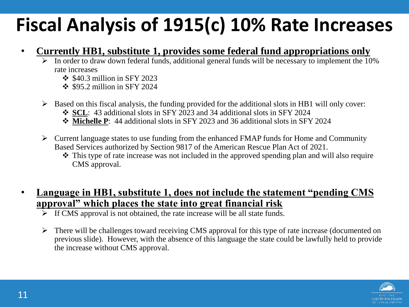### **Fiscal Analysis of 1915(c) 10% Rate Increases**

- **Currently HB1, substitute 1, provides some federal fund appropriations only**
	- $\triangleright$  In order to draw down federal funds, additional general funds will be necessary to implement the 10% rate increases
		- $\div$  \$40.3 million in SFY 2023
		- $\div$  \$95.2 million in SFY 2024
	- $\triangleright$  Based on this fiscal analysis, the funding provided for the additional slots in HB1 will only cover:
		- **SCL**: 43 additional slots in SFY 2023 and 34 additional slots in SFY 2024
		- **Michelle P**: 44 additional slots in SFY 2023 and 36 additional slots in SFY 2024
	- $\triangleright$  Current language states to use funding from the enhanced FMAP funds for Home and Community Based Services authorized by Section 9817 of the American Rescue Plan Act of 2021.
		- This type of rate increase was not included in the approved spending plan and will also require CMS approval.

#### • **Language in HB1, substitute 1, does not include the statement "pending CMS approval" which places the state into great financial risk**

- $\overline{\triangleright}$  If CMS approval is not obtained, the rate increase will be all state funds.
- $\triangleright$  There will be challenges toward receiving CMS approval for this type of rate increase (documented on previous slide). However, with the absence of this language the state could be lawfully held to provide the increase without CMS approval.